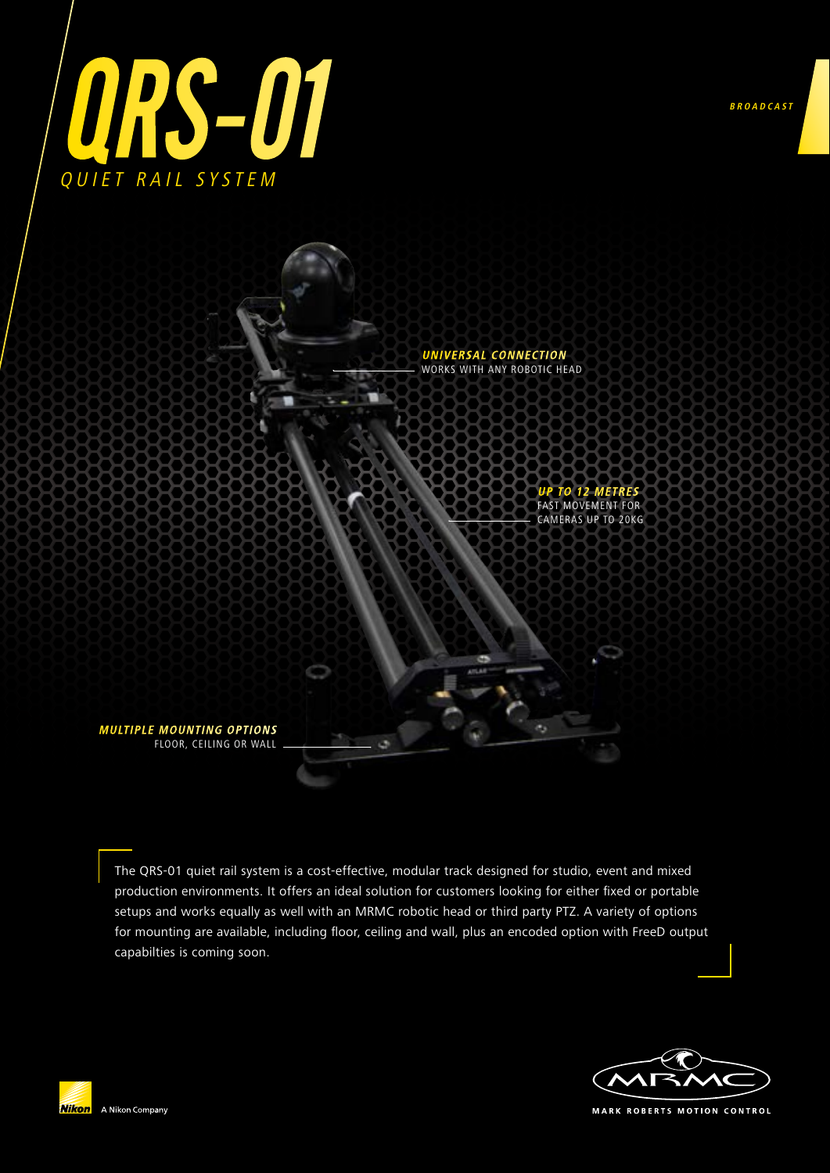



The QRS-01 quiet rail system is a cost-effective, modular track designed for studio, event and mixed production environments. It offers an ideal solution for customers looking for either fixed or portable setups and works equally as well with an MRMC robotic head or third party PTZ. A variety of options for mounting are available, including floor, ceiling and wall, plus an encoded option with FreeD output capabilties is coming soon.





MARK ROBERTS MOTION CONTROL

**BROADCAST**